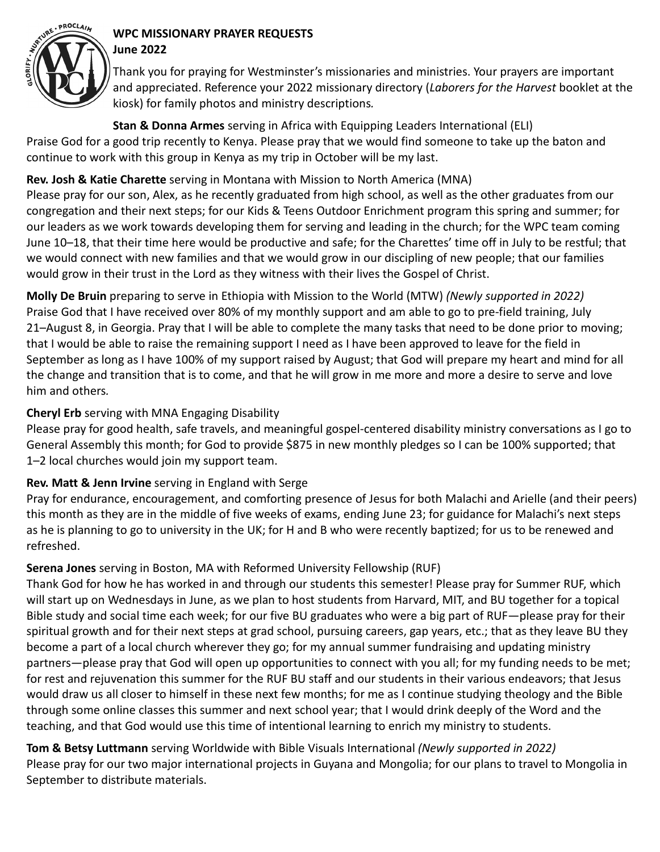

#### **WPC MISSIONARY PRAYER REQUESTS June 2022**

Thank you for praying for Westminster's missionaries and ministries. Your prayers are important and appreciated. Reference your 2022 missionary directory (*Laborers for the Harvest* booklet at the kiosk) for family photos and ministry descriptions*.*

**Stan & Donna Armes** serving in Africa with Equipping Leaders International (ELI) Praise God for a good trip recently to Kenya. Please pray that we would find someone to take up the baton and continue to work with this group in Kenya as my trip in October will be my last.

# **Rev. Josh & Katie Charette** serving in Montana with Mission to North America (MNA)

Please pray for our son, Alex, as he recently graduated from high school, as well as the other graduates from our congregation and their next steps; for our Kids & Teens Outdoor Enrichment program this spring and summer; for our leaders as we work towards developing them for serving and leading in the church; for the WPC team coming June 10–18, that their time here would be productive and safe; for the Charettes' time off in July to be restful; that we would connect with new families and that we would grow in our discipling of new people; that our families would grow in their trust in the Lord as they witness with their lives the Gospel of Christ.

**Molly De Bruin** preparing to serve in Ethiopia with Mission to the World (MTW) *(Newly supported in 2022)* Praise God that I have received over 80% of my monthly support and am able to go to pre-field training, July 21–August 8, in Georgia. Pray that I will be able to complete the many tasks that need to be done prior to moving; that I would be able to raise the remaining support I need as I have been approved to leave for the field in September as long as I have 100% of my support raised by August; that God will prepare my heart and mind for all the change and transition that is to come, and that he will grow in me more and more a desire to serve and love him and others*.*

# **Cheryl Erb** serving with MNA Engaging Disability

Please pray for good health, safe travels, and meaningful gospel-centered disability ministry conversations as I go to General Assembly this month; for God to provide \$875 in new monthly pledges so I can be 100% supported; that 1–2 local churches would join my support team.

# **Rev. Matt & Jenn Irvine** serving in England with Serge

Pray for endurance, encouragement, and comforting presence of Jesus for both Malachi and Arielle (and their peers) this month as they are in the middle of five weeks of exams, ending June 23; for guidance for Malachi's next steps as he is planning to go to university in the UK; for H and B who were recently baptized; for us to be renewed and refreshed.

# **Serena Jones** serving in Boston, MA with Reformed University Fellowship (RUF)

Thank God for how he has worked in and through our students this semester! Please pray for Summer RUF, which will start up on Wednesdays in June, as we plan to host students from Harvard, MIT, and BU together for a topical Bible study and social time each week; for our five BU graduates who were a big part of RUF—please pray for their spiritual growth and for their next steps at grad school, pursuing careers, gap years, etc.; that as they leave BU they become a part of a local church wherever they go; for my annual summer fundraising and updating ministry partners—please pray that God will open up opportunities to connect with you all; for my funding needs to be met; for rest and rejuvenation this summer for the RUF BU staff and our students in their various endeavors; that Jesus would draw us all closer to himself in these next few months; for me as I continue studying theology and the Bible through some online classes this summer and next school year; that I would drink deeply of the Word and the teaching, and that God would use this time of intentional learning to enrich my ministry to students.

**Tom & Betsy Luttmann** serving Worldwide with Bible Visuals International *(Newly supported in 2022)* Please pray for our two major international projects in Guyana and Mongolia; for our plans to travel to Mongolia in September to distribute materials.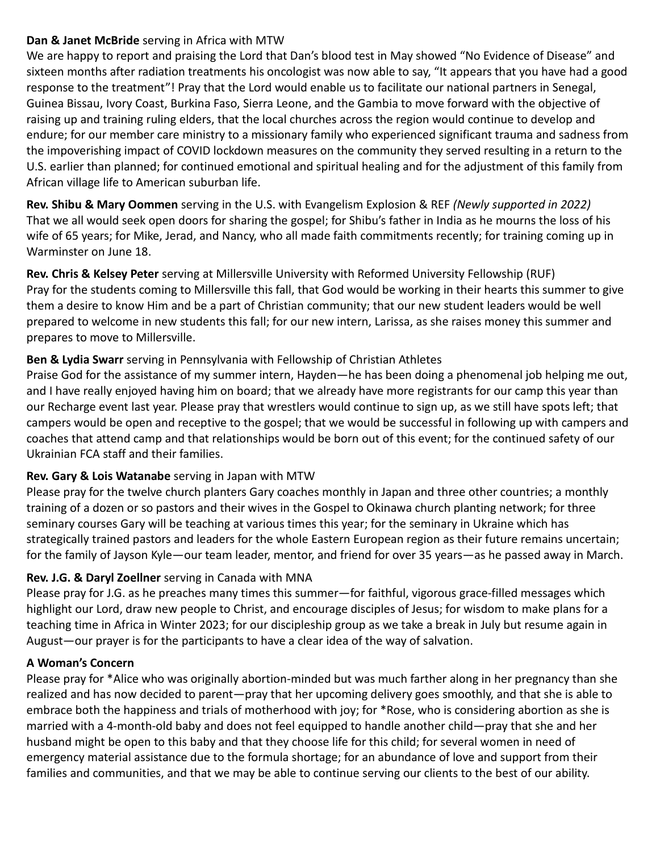#### **Dan & Janet McBride** serving in Africa with MTW

We are happy to report and praising the Lord that Dan's blood test in May showed "No Evidence of Disease" and sixteen months after radiation treatments his oncologist was now able to say, "It appears that you have had a good response to the treatment"! Pray that the Lord would enable us to facilitate our national partners in Senegal, Guinea Bissau, Ivory Coast, Burkina Faso, Sierra Leone, and the Gambia to move forward with the objective of raising up and training ruling elders, that the local churches across the region would continue to develop and endure; for our member care ministry to a missionary family who experienced significant trauma and sadness from the impoverishing impact of COVID lockdown measures on the community they served resulting in a return to the U.S. earlier than planned; for continued emotional and spiritual healing and for the adjustment of this family from African village life to American suburban life.

**Rev. Shibu & Mary Oommen** serving in the U.S. with Evangelism Explosion & REF *(Newly supported in 2022)* That we all would seek open doors for sharing the gospel; for Shibu's father in India as he mourns the loss of his wife of 65 years; for Mike, Jerad, and Nancy, who all made faith commitments recently; for training coming up in Warminster on June 18.

**Rev. Chris & Kelsey Peter** serving at Millersville University with Reformed University Fellowship (RUF) Pray for the students coming to Millersville this fall, that God would be working in their hearts this summer to give them a desire to know Him and be a part of Christian community; that our new student leaders would be well prepared to welcome in new students this fall; for our new intern, Larissa, as she raises money this summer and prepares to move to Millersville.

# **Ben & Lydia Swarr** serving in Pennsylvania with Fellowship of Christian Athletes

Praise God for the assistance of my summer intern, Hayden—he has been doing a phenomenal job helping me out, and I have really enjoyed having him on board; that we already have more registrants for our camp this year than our Recharge event last year. Please pray that wrestlers would continue to sign up, as we still have spots left; that campers would be open and receptive to the gospel; that we would be successful in following up with campers and coaches that attend camp and that relationships would be born out of this event; for the continued safety of our Ukrainian FCA staff and their families.

# **Rev. Gary & Lois Watanabe** serving in Japan with MTW

Please pray for the twelve church planters Gary coaches monthly in Japan and three other countries; a monthly training of a dozen or so pastors and their wives in the Gospel to Okinawa church planting network; for three seminary courses Gary will be teaching at various times this year; for the seminary in Ukraine which has strategically trained pastors and leaders for the whole Eastern European region as their future remains uncertain; for the family of Jayson Kyle—our team leader, mentor, and friend for over 35 years—as he passed away in March.

# **Rev. J.G. & Daryl Zoellner** serving in Canada with MNA

Please pray for J.G. as he preaches many times this summer—for faithful, vigorous grace-filled messages which highlight our Lord, draw new people to Christ, and encourage disciples of Jesus; for wisdom to make plans for a teaching time in Africa in Winter 2023; for our discipleship group as we take a break in July but resume again in August—our prayer is for the participants to have a clear idea of the way of salvation.

#### **A Woman's Concern**

Please pray for \*Alice who was originally abortion-minded but was much farther along in her pregnancy than she realized and has now decided to parent—pray that her upcoming delivery goes smoothly, and that she is able to embrace both the happiness and trials of motherhood with joy; for \*Rose, who is considering abortion as she is married with a 4-month-old baby and does not feel equipped to handle another child—pray that she and her husband might be open to this baby and that they choose life for this child; for several women in need of emergency material assistance due to the formula shortage; for an abundance of love and support from their families and communities, and that we may be able to continue serving our clients to the best of our ability.